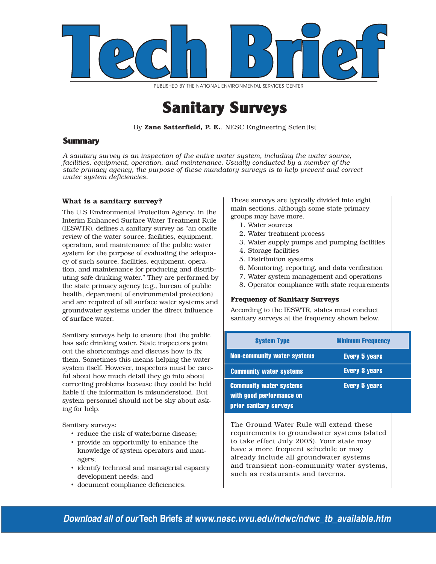

PUBLISHED BY THE NATIONAL ENVIRONMENTAL SERVICES CENTER

## Sanitary Surveys

By Zane Satterfield, P. E., NESC Engineering Scientist

#### **Summary**

*A sanitary survey is an inspection of the entire water system, including the water source, facilities, equipment, operation, and maintenance. Usually conducted by a member of the state primacy agency, the purpose of these mandatory surveys is to help prevent and correct water system deficiencies.* 

#### **What is a sanitary survey?**

The U.S Environmental Protection Agency, in the Interim Enhanced Surface Water Treatment Rule (IESWTR), defines a sanitary survey as "an onsite review of the water source, facilities, equipment, operation, and maintenance of the public water system for the purpose of evaluating the adequacy of such source, facilities, equipment, operation, and maintenance for producing and distributing safe drinking water." They are performed by the state primacy agency (e.g., bureau of public health, department of environmental protection) and are required of all surface water systems and groundwater systems under the direct influence of surface water.

Sanitary surveys help to ensure that the public has safe drinking water. State inspectors point out the shortcomings and discuss how to fix them. Sometimes this means helping the water system itself. However, inspectors must be careful about how much detail they go into about correcting problems because they could be held liable if the information is misunderstood. But system personnel should not be shy about asking for help.

Sanitary surveys:

- reduce the risk of waterborne disease;
- provide an opportunity to enhance the knowledge of system operators and managers;
- identify technical and managerial capacity development needs; and
- document compliance deficiencies.

These surveys are typically divided into eight main sections, although some state primacy groups may have more.

- 1. Water sources
- 2. Water treatment process
- 3. Water supply pumps and pumping facilities
- 4. Storage facilities
- 5. Distribution systems
- 6. Monitoring, reporting, and data verification
- 7. Water system management and operations
- 8. Operator compliance with state requirements

#### **Frequency of Sanitary Surveys**

According to the IESWTR, states must conduct sanitary surveys at the frequency shown below.

| <b>System Type</b>                                                                   | <b>Minimum Frequency</b> |
|--------------------------------------------------------------------------------------|--------------------------|
| <b>Non-community water systems</b>                                                   | <b>Every 5 years</b>     |
| <b>Community water systems</b>                                                       | <b>Every 3 years</b>     |
| <b>Community water systems</b><br>with good performance on<br>prior sanitary surveys | <b>Every 5 years</b>     |

The Ground Water Rule will extend these requirements to groundwater systems (slated to take effect July 2005). Your state may have a more frequent schedule or may already include all groundwater systems and transient non-community water systems, such as restaurants and taverns.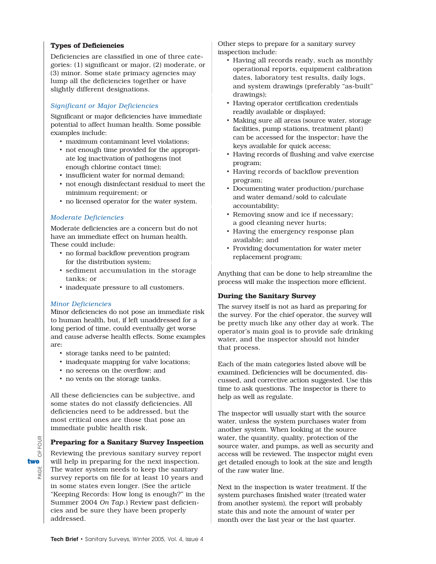#### **Types of Deficiencies**

Deficiencies are classified in one of three categories: (1) significant or major, (2) moderate, or (3) minor. Some state primacy agencies may lump all the deficiencies together or have slightly different designations.

#### *Significant or Major Deficiencies*

Significant or major deficiencies have immediate potential to affect human health. Some possible examples include:

- maximum contaminant level violations;
- not enough time provided for the appropriate log inactivation of pathogens (not enough chlorine contact time);
- insufficient water for normal demand;
- not enough disinfectant residual to meet the minimum requirement; or
- no licensed operator for the water system.

#### *Moderate Deficiencies*

Moderate deficiencies are a concern but do not have an immediate effect on human health. These could include:

- no formal backflow prevention program for the distribution system;
- sediment accumulation in the storage tanks; or
- inadequate pressure to all customers.

#### *Minor Deficiencies*

Minor deficiencies do not pose an immediate risk to human health, but, if left unaddressed for a long period of time, could eventually get worse and cause adverse health effects. Some examples are:

- storage tanks need to be painted;
- inadequate mapping for valve locations;
- no screens on the overflow; and
- no vents on the storage tanks.

All these deficiencies can be subjective, and some states do not classify deficiencies. All deficiencies need to be addressed, but the most critical ones are those that pose an immediate public health risk.

#### **Preparing for a Sanitary Survey Inspection**

Reviewing the previous sanitary survey report will help in preparing for the next inspection. The water system needs to keep the sanitary survey reports on file for at least 10 years and in some states even longer. (See the article "Keeping Records: How long is enough?" in the Summer 2004 *On Tap*.) Review past deficiencies and be sure they have been properly addressed.

Other steps to prepare for a sanitary survey inspection include:

- Having all records ready, such as monthly operational reports, equipment calibration dates, laboratory test results, daily logs, and system drawings (preferably "as-built" drawings);
- Having operator certification credentials readily available or displayed;
- Making sure all areas (source water, storage facilities, pump stations, treatment plant) can be accessed for the inspector; have the keys available for quick access;
- Having records of flushing and valve exercise program;
- Having records of backflow prevention program;
- Documenting water production/purchase and water demand/sold to calculate accountability;
- Removing snow and ice if necessary; a good cleaning never hurts;
- Having the emergency response plan available; and
- Providing documentation for water meter replacement program;

Anything that can be done to help streamline the process will make the inspection more efficient.

#### **During the Sanitary Survey**

The survey itself is not as hard as preparing for the survey. For the chief operator, the survey will be pretty much like any other day at work. The operator's main goal is to provide safe drinking water, and the inspector should not hinder that process.

Each of the main categories listed above will be examined. Deficiencies will be documented, discussed, and corrective action suggested. Use this time to ask questions. The inspector is there to help as well as regulate.

The inspector will usually start with the source water, unless the system purchases water from another system. When looking at the source water, the quantity, quality, protection of the source water, and pumps, as well as security and access will be reviewed. The inspector might even get detailed enough to look at the size and length of the raw water line.

Next in the inspection is water treatment. If the system purchases finished water (treated water from another system), the report will probably state this and note the amount of water per month over the last year or the last quarter.

**FOUR** PAGE OF FOUR ŏ twoUE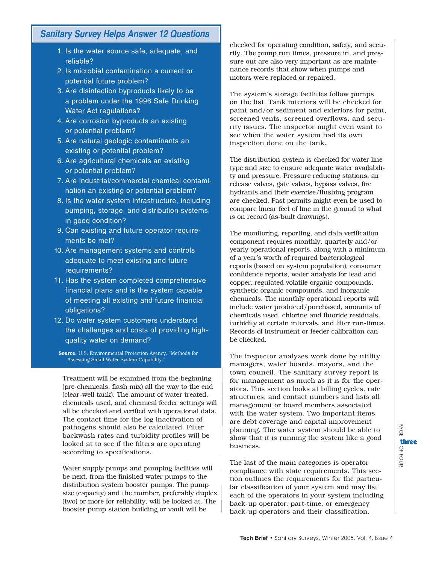### **Sanitary Survey Helps Answer 12 Questions**

- 1. Is the water source safe, adequate, and reliable?
- 2. Is microbial contamination a current or potential future problem?
- 3. Are disinfection byproducts likely to be a problem under the 1996 Safe Drinking Water Act regulations?
- 4. Are corrosion byproducts an existing or potential problem?
- 5. Are natural geologic contaminants an existing or potential problem?
- 6. Are agricultural chemicals an existing or potential problem?
- 7. Are industrial/commercial chemical contamination an existing or potential problem?
- 8. Is the water system infrastructure, including pumping, storage, and distribution systems, in good condition?
- 9. Can existing and future operator requirements be met?
- 0. Are management systems and controls 1 adequate to meet existing and future requirements?
- 11. Has the system completed comprehensive financial plans and is the system capable of meeting all existing and future financial obligations?
- 12. Do water system customers understand the challenges and costs of providing highquality water on demand?

Source: U.S. Environmental Protection Agency, "Methods for Assessing Small Water System Capability."

Treatment will be examined from the beginning (pre-chemicals, flash mix) all the way to the end (clear-well tank). The amount of water treated, chemicals used, and chemical feeder settings will all be checked and verified with operational data. The contact time for the log inactivation of pathogens should also be calculated. Filter backwash rates and turbidity profiles will be looked at to see if the filters are operating according to specifications.

Water supply pumps and pumping facilities will be next, from the finished water pumps to the distribution system booster pumps. The pump size (capacity) and the number, preferably duplex (two) or more for reliability, will be looked at. The booster pump station building or vault will be

checked for operating condition, safety, and security. The pump run times, pressure in, and pressure out are also very important as are maintenance records that show when pumps and motors were replaced or repaired.

The system's storage facilities follow pumps on the list. Tank interiors will be checked for paint and/or sediment and exteriors for paint, screened vents, screened overflows, and security issues. The inspector might even want to see when the water system had its own inspection done on the tank.

The distribution system is checked for water line type and size to ensure adequate water availability and pressure. Pressure reducing stations, air release valves, gate valves, bypass valves, fire hydrants and their exercise/flushing program are checked. Past permits might even be used to compare linear feet of line in the ground to what is on record (as-built drawings).

The monitoring, reporting, and data verification component requires monthly, quarterly and/or yearly operational reports, along with a minimum of a year's worth of required bacteriological reports (based on system population), consumer confidence reports, water analysis for lead and copper, regulated volatile organic compounds, synthetic organic compounds, and inorganic chemicals. The monthly operational reports will include water produced/purchased, amounts of chemicals used, chlorine and fluoride residuals, turbidity at certain intervals, and filter run-times. Records of instrument or feeder calibration can be checked.

The inspector analyzes work done by utility managers, water boards, mayors, and the town council. The sanitary survey report is for management as much as it is for the operators. This section looks at billing cycles, rate structures, and contact numbers and lists all management or board members associated with the water system. Two important items are debt coverage and capital improvement planning. The water system should be able to show that it is running the system like a good business.

The last of the main categories is operator compliance with state requirements. This section outlines the requirements for the particular classification of your system and may list each of the operators in your system including back-up operator, part-time, or emergency back-up operators and their classification.